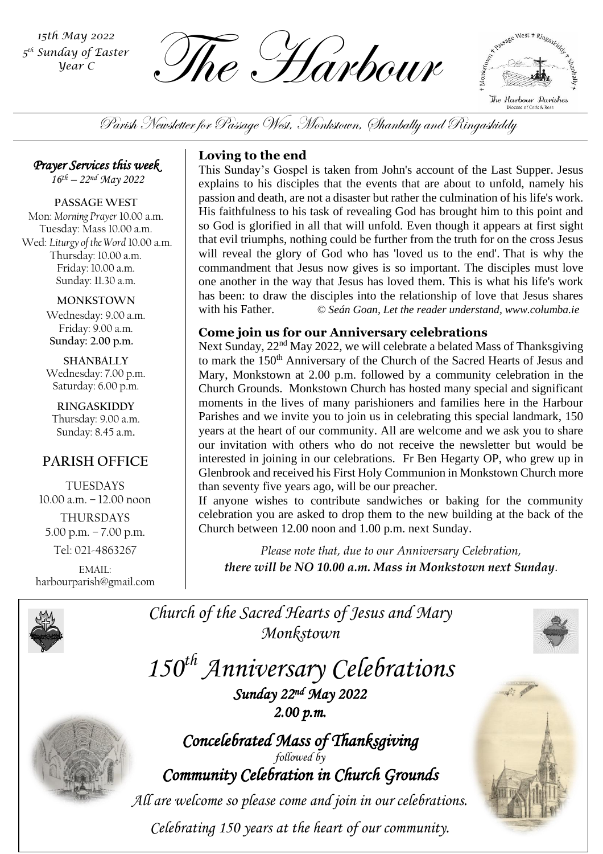*5 th Sunday of Easter Year C*

The Harbour *15th May 2022*



Parish Newsletter for Passage West, Monkstown, Shanbally and Ringaskiddy

*Prayer Services this week* 

*16th – 22 nd May 2022*

**PASSAGE WEST** Mon: *Morning Prayer* 10.00 a.m. Tuesday: Mass 10.00 a.m. Wed: *Liturgy of the Word* 10.00 a.m. Thursday: 10.00 a.m. Friday: 10.00 a.m. Sunday: 11.30 a.m.

**MONKSTOWN**

Wednesday: 9.00 a.m. Friday: 9.00 a.m. **Sunday: 2.00 p.m.**

**SHANBALLY** Wednesday: 7.00 p.m. Saturday: 6.00 p.m.

**RINGASKIDDY** Thursday: 9.00 a.m. Sunday: 8.45 a.m.

# **PARISH OFFICE**

TUESDAYS 10.00 a.m. – 12.00 noon THURSDAYS 5.00 p.m. – 7.00 p.m. Tel: 021-4863267

EMAIL: harbourparish@gmail.com

# **Loving to the end**

This Sunday's Gospel is taken from John's account of the Last Supper. Jesus explains to his disciples that the events that are about to unfold, namely his passion and death, are not a disaster but rather the culmination of his life's work. His faithfulness to his task of revealing God has brought him to this point and so God is glorified in all that will unfold. Even though it appears at first sight that evil triumphs, nothing could be further from the truth for on the cross Jesus will reveal the glory of God who has 'loved us to the end'. That is why the commandment that Jesus now gives is so important. The disciples must love one another in the way that Jesus has loved them. This is what his life's work has been: to draw the disciples into the relationship of love that Jesus shares with his Father. *© Seán Goan, Let the reader understand, www.columba.ie*

# **Come join us for our Anniversary celebrations**

Next Sunday, 22<sup>nd</sup> May 2022, we will celebrate a belated Mass of Thanksgiving to mark the 150<sup>th</sup> Anniversary of the Church of the Sacred Hearts of Jesus and Mary, Monkstown at 2.00 p.m. followed by a community celebration in the Church Grounds. Monkstown Church has hosted many special and significant moments in the lives of many parishioners and families here in the Harbour Parishes and we invite you to join us in celebrating this special landmark, 150 years at the heart of our community. All are welcome and we ask you to share our invitation with others who do not receive the newsletter but would be interested in joining in our celebrations. Fr Ben Hegarty OP, who grew up in Glenbrook and received his First Holy Communion in Monkstown Church more than seventy five years ago, will be our preacher.

Church between 12.00 noon and 1.00 p.m. next Sunday. If anyone wishes to contribute sandwiches or baking for the community celebration you are asked to drop them to the new building at the back of the

*Please note that, due to our Anniversary Celebration, there will be NO 10.00 a.m. Mass in Monkstown next Sunday.*



Church of the Sacred Hearts of Jesus and Mary *Monkstown*

*150th Anniversary Celebrations Sunday 22nd May 2022 2.00 p.m.* 



*Concelebrated Mass of Thanksgiving followed by Community Celebration in Church Grounds* 

*All are welcome so please come and join in our celebrations.*

*Celebrating 150 years at the heart of our community.*